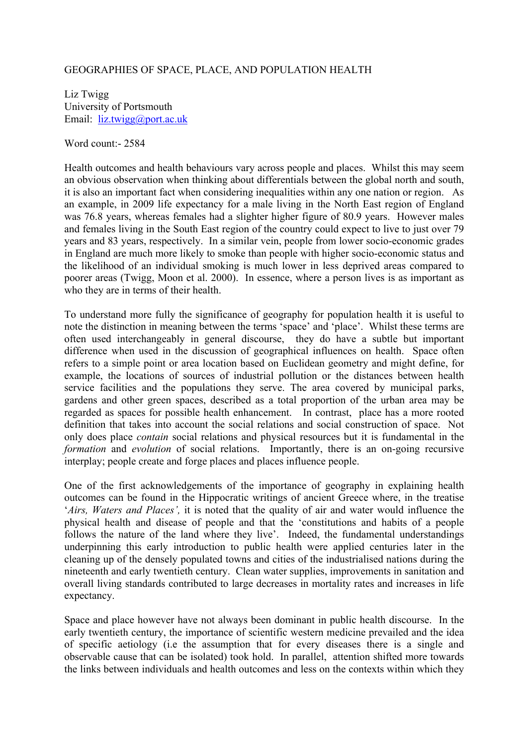## GEOGRAPHIES OF SPACE, PLACE, AND POPULATION HEALTH

Liz Twigg University of Portsmouth Email: liz.twigg@port.ac.uk

Word count:- 2584

Health outcomes and health behaviours vary across people and places. Whilst this may seem an obvious observation when thinking about differentials between the global north and south, it is also an important fact when considering inequalities within any one nation or region. As an example, in 2009 life expectancy for a male living in the North East region of England was 76.8 years, whereas females had a slighter higher figure of 80.9 years. However males and females living in the South East region of the country could expect to live to just over 79 years and 83 years, respectively. In a similar vein, people from lower socio-economic grades in England are much more likely to smoke than people with higher socio-economic status and the likelihood of an individual smoking is much lower in less deprived areas compared to poorer areas (Twigg, Moon et al. 2000). In essence, where a person lives is as important as who they are in terms of their health.

To understand more fully the significance of geography for population health it is useful to note the distinction in meaning between the terms 'space' and 'place'. Whilst these terms are often used interchangeably in general discourse, they do have a subtle but important difference when used in the discussion of geographical influences on health. Space often refers to a simple point or area location based on Euclidean geometry and might define, for example, the locations of sources of industrial pollution or the distances between health service facilities and the populations they serve. The area covered by municipal parks, gardens and other green spaces, described as a total proportion of the urban area may be regarded as spaces for possible health enhancement. In contrast, place has a more rooted definition that takes into account the social relations and social construction of space. Not only does place *contain* social relations and physical resources but it is fundamental in the *formation* and *evolution* of social relations. Importantly, there is an on-going recursive interplay; people create and forge places and places influence people.

One of the first acknowledgements of the importance of geography in explaining health outcomes can be found in the Hippocratic writings of ancient Greece where, in the treatise '*Airs, Waters and Places',* it is noted that the quality of air and water would influence the physical health and disease of people and that the 'constitutions and habits of a people follows the nature of the land where they live'. Indeed, the fundamental understandings underpinning this early introduction to public health were applied centuries later in the cleaning up of the densely populated towns and cities of the industrialised nations during the nineteenth and early twentieth century. Clean water supplies, improvements in sanitation and overall living standards contributed to large decreases in mortality rates and increases in life expectancy.

Space and place however have not always been dominant in public health discourse. In the early twentieth century, the importance of scientific western medicine prevailed and the idea of specific aetiology (i.e the assumption that for every diseases there is a single and observable cause that can be isolated) took hold. In parallel, attention shifted more towards the links between individuals and health outcomes and less on the contexts within which they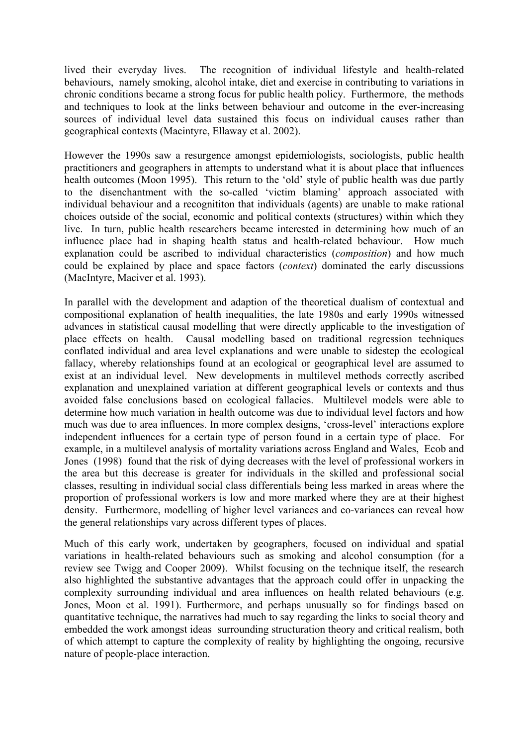lived their everyday lives. The recognition of individual lifestyle and health-related behaviours, namely smoking, alcohol intake, diet and exercise in contributing to variations in chronic conditions became a strong focus for public health policy. Furthermore, the methods and techniques to look at the links between behaviour and outcome in the ever-increasing sources of individual level data sustained this focus on individual causes rather than geographical contexts (Macintyre, Ellaway et al. 2002).

However the 1990s saw a resurgence amongst epidemiologists, sociologists, public health practitioners and geographers in attempts to understand what it is about place that influences health outcomes (Moon 1995). This return to the 'old' style of public health was due partly to the disenchantment with the so-called 'victim blaming' approach associated with individual behaviour and a recognititon that individuals (agents) are unable to make rational choices outside of the social, economic and political contexts (structures) within which they live. In turn, public health researchers became interested in determining how much of an influence place had in shaping health status and health-related behaviour. How much explanation could be ascribed to individual characteristics (*composition*) and how much could be explained by place and space factors (*context*) dominated the early discussions (MacIntyre, Maciver et al. 1993).

In parallel with the development and adaption of the theoretical dualism of contextual and compositional explanation of health inequalities, the late 1980s and early 1990s witnessed advances in statistical causal modelling that were directly applicable to the investigation of place effects on health. Causal modelling based on traditional regression techniques conflated individual and area level explanations and were unable to sidestep the ecological fallacy, whereby relationships found at an ecological or geographical level are assumed to exist at an individual level. New developments in multilevel methods correctly ascribed explanation and unexplained variation at different geographical levels or contexts and thus avoided false conclusions based on ecological fallacies. Multilevel models were able to determine how much variation in health outcome was due to individual level factors and how much was due to area influences. In more complex designs, 'cross-level' interactions explore independent influences for a certain type of person found in a certain type of place. For example, in a multilevel analysis of mortality variations across England and Wales, Ecob and Jones (1998) found that the risk of dying decreases with the level of professional workers in the area but this decrease is greater for individuals in the skilled and professional social classes, resulting in individual social class differentials being less marked in areas where the proportion of professional workers is low and more marked where they are at their highest density. Furthermore, modelling of higher level variances and co-variances can reveal how the general relationships vary across different types of places.

Much of this early work, undertaken by geographers, focused on individual and spatial variations in health-related behaviours such as smoking and alcohol consumption (for a review see Twigg and Cooper 2009). Whilst focusing on the technique itself, the research also highlighted the substantive advantages that the approach could offer in unpacking the complexity surrounding individual and area influences on health related behaviours (e.g. Jones, Moon et al. 1991). Furthermore, and perhaps unusually so for findings based on quantitative technique, the narratives had much to say regarding the links to social theory and embedded the work amongst ideas surrounding structuration theory and critical realism, both of which attempt to capture the complexity of reality by highlighting the ongoing, recursive nature of people-place interaction.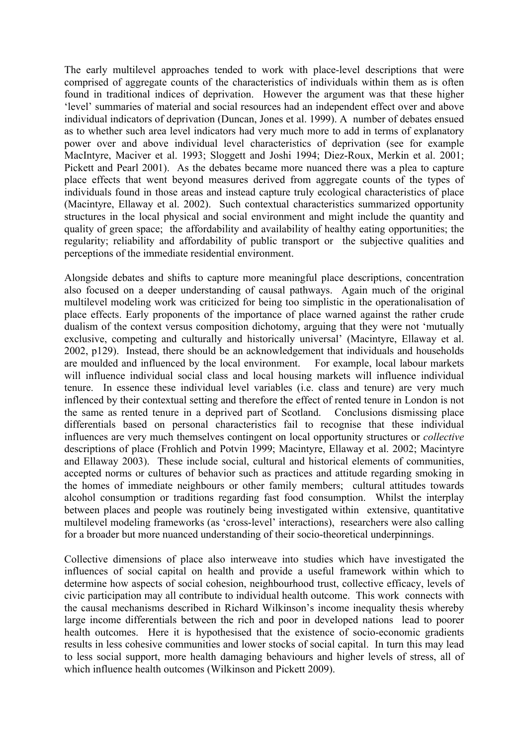The early multilevel approaches tended to work with place-level descriptions that were comprised of aggregate counts of the characteristics of individuals within them as is often found in traditional indices of deprivation. However the argument was that these higher 'level' summaries of material and social resources had an independent effect over and above individual indicators of deprivation (Duncan, Jones et al. 1999). A number of debates ensued as to whether such area level indicators had very much more to add in terms of explanatory power over and above individual level characteristics of deprivation (see for example MacIntyre, Maciver et al. 1993; Sloggett and Joshi 1994; Diez-Roux, Merkin et al. 2001; Pickett and Pearl 2001). As the debates became more nuanced there was a plea to capture place effects that went beyond measures derived from aggregate counts of the types of individuals found in those areas and instead capture truly ecological characteristics of place (Macintyre, Ellaway et al. 2002). Such contextual characteristics summarized opportunity structures in the local physical and social environment and might include the quantity and quality of green space; the affordability and availability of healthy eating opportunities; the regularity; reliability and affordability of public transport or the subjective qualities and perceptions of the immediate residential environment.

Alongside debates and shifts to capture more meaningful place descriptions, concentration also focused on a deeper understanding of causal pathways. Again much of the original multilevel modeling work was criticized for being too simplistic in the operationalisation of place effects. Early proponents of the importance of place warned against the rather crude dualism of the context versus composition dichotomy, arguing that they were not 'mutually exclusive, competing and culturally and historically universal' (Macintyre, Ellaway et al. 2002, p129). Instead, there should be an acknowledgement that individuals and households are moulded and influenced by the local environment. For example, local labour markets will influence individual social class and local housing markets will influence individual tenure. In essence these individual level variables (i.e. class and tenure) are very much inflenced by their contextual setting and therefore the effect of rented tenure in London is not the same as rented tenure in a deprived part of Scotland. Conclusions dismissing place differentials based on personal characteristics fail to recognise that these individual influences are very much themselves contingent on local opportunity structures or *collective*  descriptions of place (Frohlich and Potvin 1999; Macintyre, Ellaway et al. 2002; Macintyre and Ellaway 2003). These include social, cultural and historical elements of communities, accepted norms or cultures of behavior such as practices and attitude regarding smoking in the homes of immediate neighbours or other family members; cultural attitudes towards alcohol consumption or traditions regarding fast food consumption. Whilst the interplay between places and people was routinely being investigated within extensive, quantitative multilevel modeling frameworks (as 'cross-level' interactions), researchers were also calling for a broader but more nuanced understanding of their socio-theoretical underpinnings.

Collective dimensions of place also interweave into studies which have investigated the influences of social capital on health and provide a useful framework within which to determine how aspects of social cohesion, neighbourhood trust, collective efficacy, levels of civic participation may all contribute to individual health outcome. This work connects with the causal mechanisms described in Richard Wilkinson's income inequality thesis whereby large income differentials between the rich and poor in developed nations lead to poorer health outcomes. Here it is hypothesised that the existence of socio-economic gradients results in less cohesive communities and lower stocks of social capital. In turn this may lead to less social support, more health damaging behaviours and higher levels of stress, all of which influence health outcomes (Wilkinson and Pickett 2009).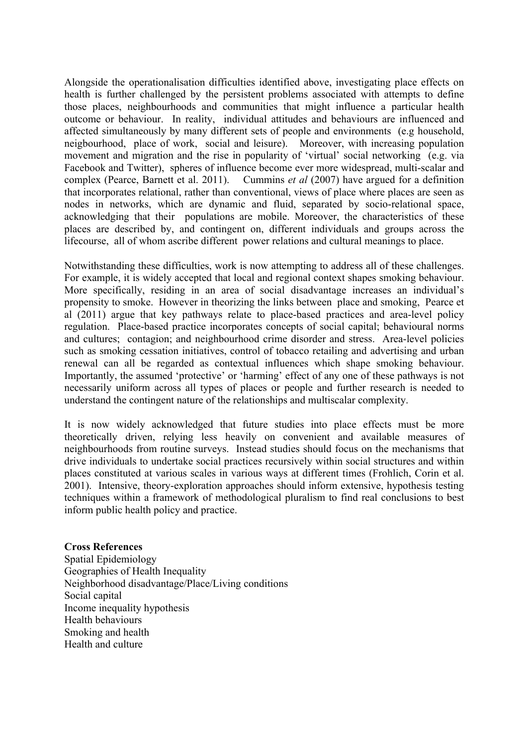Alongside the operationalisation difficulties identified above, investigating place effects on health is further challenged by the persistent problems associated with attempts to define those places, neighbourhoods and communities that might influence a particular health outcome or behaviour. In reality, individual attitudes and behaviours are influenced and affected simultaneously by many different sets of people and environments (e.g household, neigbourhood, place of work, social and leisure). Moreover, with increasing population movement and migration and the rise in popularity of 'virtual' social networking (e.g. via Facebook and Twitter), spheres of influence become ever more widespread, multi-scalar and complex (Pearce, Barnett et al. 2011). Cummins *et al* (2007) have argued for a definition that incorporates relational, rather than conventional, views of place where places are seen as nodes in networks, which are dynamic and fluid, separated by socio-relational space, acknowledging that their populations are mobile. Moreover, the characteristics of these places are described by, and contingent on, different individuals and groups across the lifecourse, all of whom ascribe different power relations and cultural meanings to place.

Notwithstanding these difficulties, work is now attempting to address all of these challenges. For example, it is widely accepted that local and regional context shapes smoking behaviour. More specifically, residing in an area of social disadvantage increases an individual's propensity to smoke. However in theorizing the links between place and smoking, Pearce et al (2011) argue that key pathways relate to place-based practices and area-level policy regulation. Place-based practice incorporates concepts of social capital; behavioural norms and cultures; contagion; and neighbourhood crime disorder and stress. Area-level policies such as smoking cessation initiatives, control of tobacco retailing and advertising and urban renewal can all be regarded as contextual influences which shape smoking behaviour. Importantly, the assumed 'protective' or 'harming' effect of any one of these pathways is not necessarily uniform across all types of places or people and further research is needed to understand the contingent nature of the relationships and multiscalar complexity.

It is now widely acknowledged that future studies into place effects must be more theoretically driven, relying less heavily on convenient and available measures of neighbourhoods from routine surveys. Instead studies should focus on the mechanisms that drive individuals to undertake social practices recursively within social structures and within places constituted at various scales in various ways at different times (Frohlich, Corin et al. 2001). Intensive, theory-exploration approaches should inform extensive, hypothesis testing techniques within a framework of methodological pluralism to find real conclusions to best inform public health policy and practice.

## **Cross References**

Spatial Epidemiology Geographies of Health Inequality Neighborhood disadvantage/Place/Living conditions Social capital Income inequality hypothesis Health behaviours Smoking and health Health and culture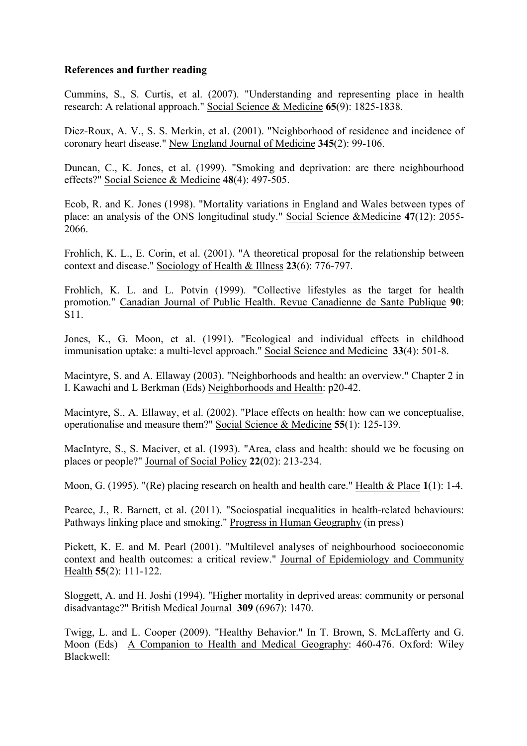## **References and further reading**

Cummins, S., S. Curtis, et al. (2007). "Understanding and representing place in health research: A relational approach." Social Science & Medicine **65**(9): 1825-1838.

Diez-Roux, A. V., S. S. Merkin, et al. (2001). "Neighborhood of residence and incidence of coronary heart disease." New England Journal of Medicine **345**(2): 99-106.

Duncan, C., K. Jones, et al. (1999). "Smoking and deprivation: are there neighbourhood effects?" Social Science & Medicine **48**(4): 497-505.

Ecob, R. and K. Jones (1998). "Mortality variations in England and Wales between types of place: an analysis of the ONS longitudinal study." Social Science &Medicine **47**(12): 2055- 2066.

Frohlich, K. L., E. Corin, et al. (2001). "A theoretical proposal for the relationship between context and disease." Sociology of Health & Illness **23**(6): 776-797.

Frohlich, K. L. and L. Potvin (1999). "Collective lifestyles as the target for health promotion." Canadian Journal of Public Health. Revue Canadienne de Sante Publique **90**: S11.

Jones, K., G. Moon, et al. (1991). "Ecological and individual effects in childhood immunisation uptake: a multi-level approach." Social Science and Medicine **33**(4): 501-8.

Macintyre, S. and A. Ellaway (2003). "Neighborhoods and health: an overview." Chapter 2 in I. Kawachi and L Berkman (Eds) Neighborhoods and Health: p20-42.

Macintyre, S., A. Ellaway, et al. (2002). "Place effects on health: how can we conceptualise, operationalise and measure them?" Social Science & Medicine **55**(1): 125-139.

MacIntyre, S., S. Maciver, et al. (1993). "Area, class and health: should we be focusing on places or people?" Journal of Social Policy **22**(02): 213-234.

Moon, G. (1995). "(Re) placing research on health and health care." Health & Place **1**(1): 1-4.

Pearce, J., R. Barnett, et al. (2011). "Sociospatial inequalities in health-related behaviours: Pathways linking place and smoking." Progress in Human Geography (in press)

Pickett, K. E. and M. Pearl (2001). "Multilevel analyses of neighbourhood socioeconomic context and health outcomes: a critical review." Journal of Epidemiology and Community Health **55**(2): 111-122.

Sloggett, A. and H. Joshi (1994). "Higher mortality in deprived areas: community or personal disadvantage?" British Medical Journal **309** (6967): 1470.

Twigg, L. and L. Cooper (2009). "Healthy Behavior." In T. Brown, S. McLafferty and G. Moon (Eds) A Companion to Health and Medical Geography: 460-476. Oxford: Wiley Blackwell: